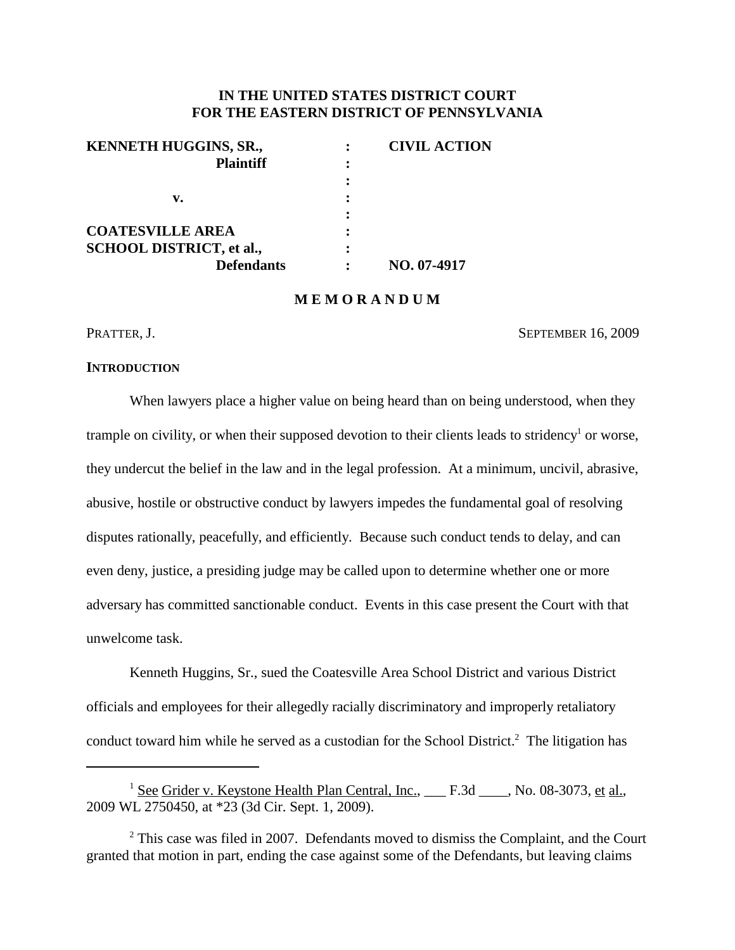# **IN THE UNITED STATES DISTRICT COURT FOR THE EASTERN DISTRICT OF PENNSYLVANIA**

| KENNETH HUGGINS, SR.,           |   | <b>CIVIL ACTION</b> |
|---------------------------------|---|---------------------|
| <b>Plaintiff</b>                |   |                     |
|                                 |   |                     |
| v.                              | : |                     |
|                                 |   |                     |
| <b>COATESVILLE AREA</b>         |   |                     |
| <b>SCHOOL DISTRICT, et al.,</b> |   |                     |
| <b>Defendants</b>               |   | NO. 07-4917         |

### **M E M O R A N D U M**

PRATTER, J. SEPTEMBER 16, 2009

#### **INTRODUCTION**

When lawyers place a higher value on being heard than on being understood, when they trample on civility, or when their supposed devotion to their clients leads to stridency<sup>1</sup> or worse, they undercut the belief in the law and in the legal profession. At a minimum, uncivil, abrasive, abusive, hostile or obstructive conduct by lawyers impedes the fundamental goal of resolving disputes rationally, peacefully, and efficiently. Because such conduct tends to delay, and can even deny, justice, a presiding judge may be called upon to determine whether one or more adversary has committed sanctionable conduct. Events in this case present the Court with that unwelcome task.

Kenneth Huggins, Sr., sued the Coatesville Area School District and various District officials and employees for their allegedly racially discriminatory and improperly retaliatory conduct toward him while he served as a custodian for the School District.<sup>2</sup> The litigation has

<sup>&</sup>lt;sup>1</sup> See Grider v. Keystone Health Plan Central, Inc., \_\_\_ F.3d \_\_\_\_, No. 08-3073, et al., 2009 WL 2750450, at \*23 (3d Cir. Sept. 1, 2009).

 $2$ <sup>2</sup> This case was filed in 2007. Defendants moved to dismiss the Complaint, and the Court granted that motion in part, ending the case against some of the Defendants, but leaving claims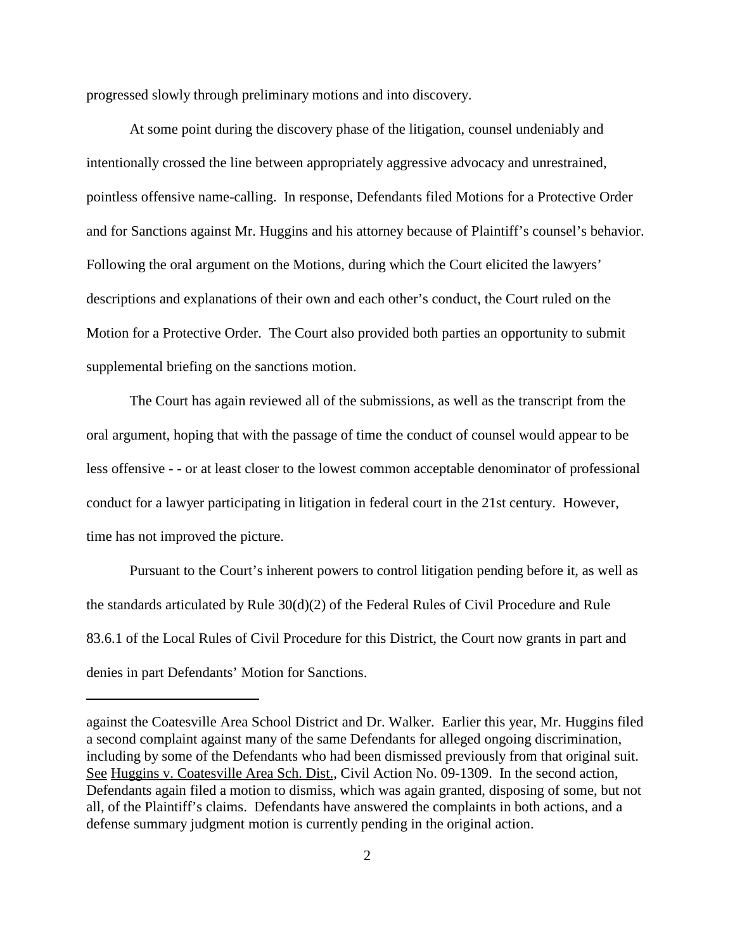progressed slowly through preliminary motions and into discovery.

At some point during the discovery phase of the litigation, counsel undeniably and intentionally crossed the line between appropriately aggressive advocacy and unrestrained, pointless offensive name-calling. In response, Defendants filed Motions for a Protective Order and for Sanctions against Mr. Huggins and his attorney because of Plaintiff's counsel's behavior. Following the oral argument on the Motions, during which the Court elicited the lawyers' descriptions and explanations of their own and each other's conduct, the Court ruled on the Motion for a Protective Order. The Court also provided both parties an opportunity to submit supplemental briefing on the sanctions motion.

The Court has again reviewed all of the submissions, as well as the transcript from the oral argument, hoping that with the passage of time the conduct of counsel would appear to be less offensive - - or at least closer to the lowest common acceptable denominator of professional conduct for a lawyer participating in litigation in federal court in the 21st century. However, time has not improved the picture.

Pursuant to the Court's inherent powers to control litigation pending before it, as well as the standards articulated by Rule 30(d)(2) of the Federal Rules of Civil Procedure and Rule 83.6.1 of the Local Rules of Civil Procedure for this District, the Court now grants in part and denies in part Defendants' Motion for Sanctions.

against the Coatesville Area School District and Dr. Walker. Earlier this year, Mr. Huggins filed a second complaint against many of the same Defendants for alleged ongoing discrimination, including by some of the Defendants who had been dismissed previously from that original suit. See Huggins v. Coatesville Area Sch. Dist., Civil Action No. 09-1309. In the second action, Defendants again filed a motion to dismiss, which was again granted, disposing of some, but not all, of the Plaintiff's claims. Defendants have answered the complaints in both actions, and a defense summary judgment motion is currently pending in the original action.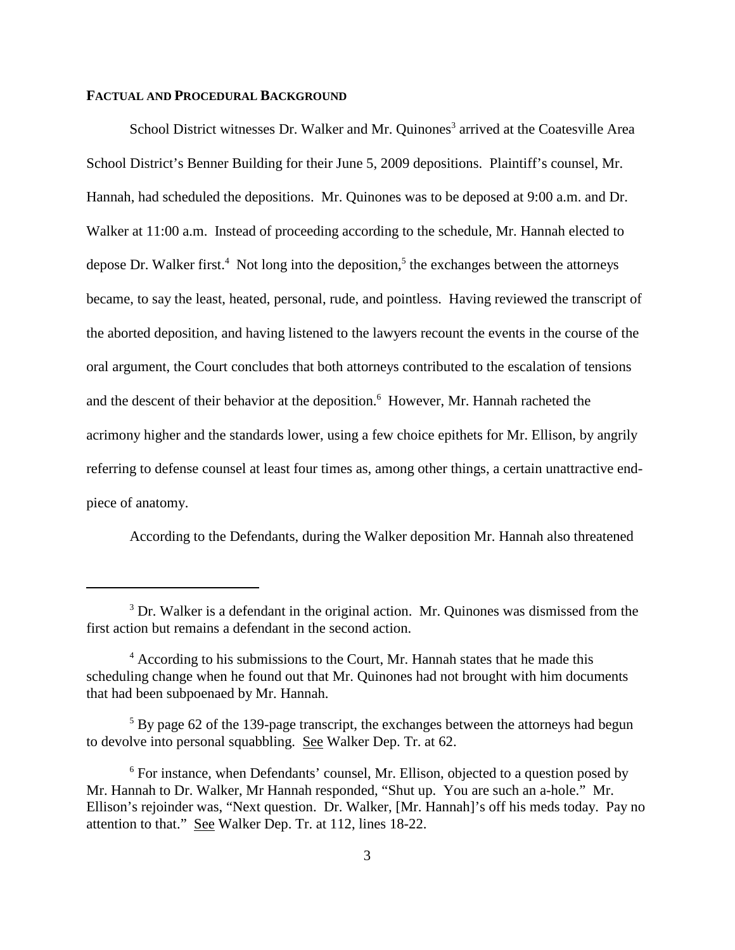### **FACTUAL AND PROCEDURAL BACKGROUND**

School District witnesses Dr. Walker and Mr. Quinones<sup>3</sup> arrived at the Coatesville Area School District's Benner Building for their June 5, 2009 depositions. Plaintiff's counsel, Mr. Hannah, had scheduled the depositions. Mr. Quinones was to be deposed at 9:00 a.m. and Dr. Walker at 11:00 a.m. Instead of proceeding according to the schedule, Mr. Hannah elected to depose Dr. Walker first.<sup>4</sup> Not long into the deposition,<sup>5</sup> the exchanges between the attorneys became, to say the least, heated, personal, rude, and pointless. Having reviewed the transcript of the aborted deposition, and having listened to the lawyers recount the events in the course of the oral argument, the Court concludes that both attorneys contributed to the escalation of tensions and the descent of their behavior at the deposition. <sup>6</sup> However, Mr. Hannah racheted the acrimony higher and the standards lower, using a few choice epithets for Mr. Ellison, by angrily referring to defense counsel at least four times as, among other things, a certain unattractive endpiece of anatomy.

According to the Defendants, during the Walker deposition Mr. Hannah also threatened

<sup>&</sup>lt;sup>3</sup> Dr. Walker is a defendant in the original action. Mr. Quinones was dismissed from the first action but remains a defendant in the second action.

<sup>4</sup> According to his submissions to the Court, Mr. Hannah states that he made this scheduling change when he found out that Mr. Quinones had not brought with him documents that had been subpoenaed by Mr. Hannah.

<sup>&</sup>lt;sup>5</sup> By page 62 of the 139-page transcript, the exchanges between the attorneys had begun to devolve into personal squabbling. See Walker Dep. Tr. at 62.

<sup>&</sup>lt;sup>6</sup> For instance, when Defendants' counsel, Mr. Ellison, objected to a question posed by Mr. Hannah to Dr. Walker, Mr Hannah responded, "Shut up. You are such an a-hole." Mr. Ellison's rejoinder was, "Next question. Dr. Walker, [Mr. Hannah]'s off his meds today. Pay no attention to that." See Walker Dep. Tr. at 112, lines 18-22.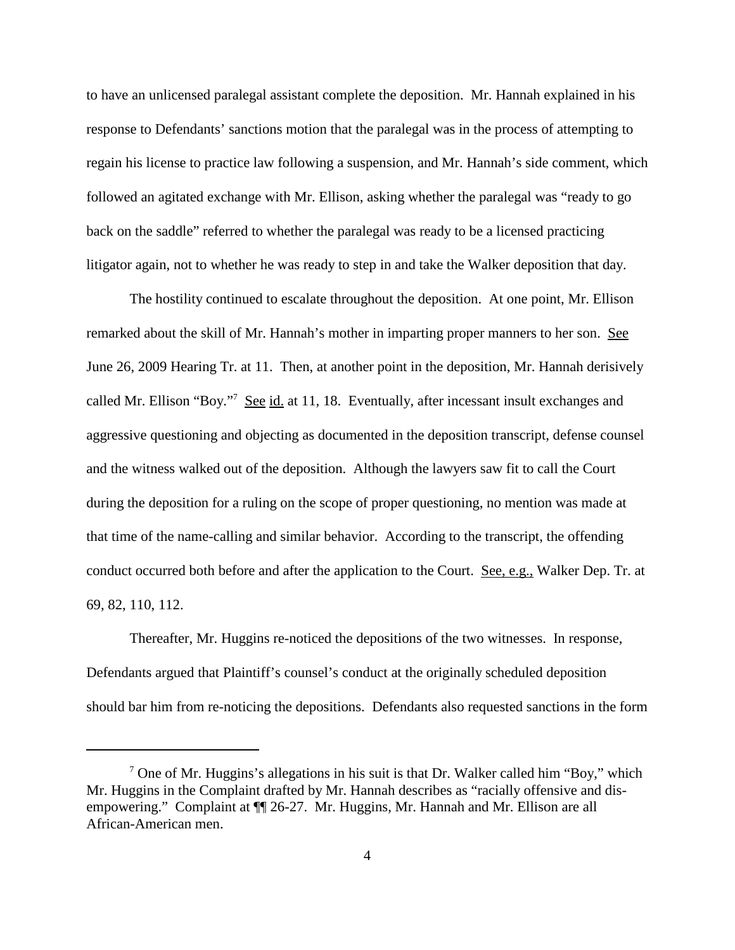to have an unlicensed paralegal assistant complete the deposition. Mr. Hannah explained in his response to Defendants' sanctions motion that the paralegal was in the process of attempting to regain his license to practice law following a suspension, and Mr. Hannah's side comment, which followed an agitated exchange with Mr. Ellison, asking whether the paralegal was "ready to go back on the saddle" referred to whether the paralegal was ready to be a licensed practicing litigator again, not to whether he was ready to step in and take the Walker deposition that day.

The hostility continued to escalate throughout the deposition. At one point, Mr. Ellison remarked about the skill of Mr. Hannah's mother in imparting proper manners to her son. See June 26, 2009 Hearing Tr. at 11. Then, at another point in the deposition, Mr. Hannah derisively called Mr. Ellison "Boy."<sup>7</sup> See id. at 11, 18. Eventually, after incessant insult exchanges and aggressive questioning and objecting as documented in the deposition transcript, defense counsel and the witness walked out of the deposition. Although the lawyers saw fit to call the Court during the deposition for a ruling on the scope of proper questioning, no mention was made at that time of the name-calling and similar behavior. According to the transcript, the offending conduct occurred both before and after the application to the Court. See, e.g., Walker Dep. Tr. at 69, 82, 110, 112.

Thereafter, Mr. Huggins re-noticed the depositions of the two witnesses. In response, Defendants argued that Plaintiff's counsel's conduct at the originally scheduled deposition should bar him from re-noticing the depositions. Defendants also requested sanctions in the form

 $<sup>7</sup>$  One of Mr. Huggins's allegations in his suit is that Dr. Walker called him "Boy," which</sup> Mr. Huggins in the Complaint drafted by Mr. Hannah describes as "racially offensive and disempowering." Complaint at  $\P$  26-27. Mr. Huggins, Mr. Hannah and Mr. Ellison are all African-American men.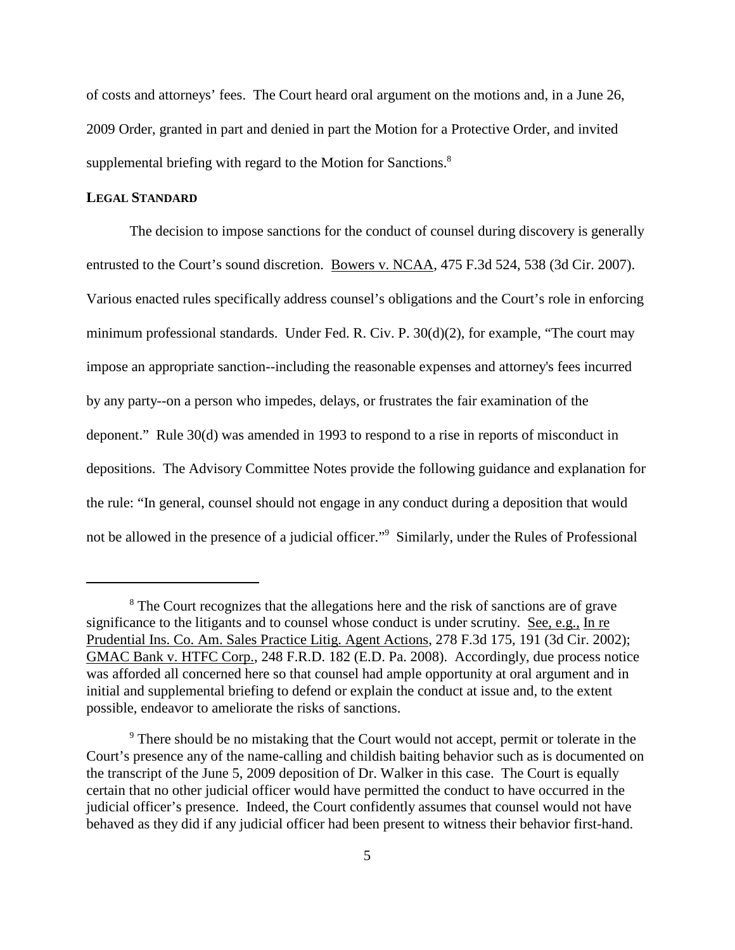of costs and attorneys' fees. The Court heard oral argument on the motions and, in a June 26, 2009 Order, granted in part and denied in part the Motion for a Protective Order, and invited supplemental briefing with regard to the Motion for Sanctions.<sup>8</sup>

# **LEGAL STANDARD**

The decision to impose sanctions for the conduct of counsel during discovery is generally entrusted to the Court's sound discretion. Bowers v. NCAA, 475 F.3d 524, 538 (3d Cir. 2007). Various enacted rules specifically address counsel's obligations and the Court's role in enforcing minimum professional standards. Under Fed. R. Civ. P. 30(d)(2), for example, "The court may impose an appropriate sanction--including the reasonable expenses and attorney's fees incurred by any party--on a person who impedes, delays, or frustrates the fair examination of the deponent." Rule 30(d) was amended in 1993 to respond to a rise in reports of misconduct in depositions. The Advisory Committee Notes provide the following guidance and explanation for the rule: "In general, counsel should not engage in any conduct during a deposition that would not be allowed in the presence of a judicial officer."<sup>9</sup> Similarly, under the Rules of Professional

<sup>&</sup>lt;sup>8</sup> The Court recognizes that the allegations here and the risk of sanctions are of grave significance to the litigants and to counsel whose conduct is under scrutiny. See, e.g., In re Prudential Ins. Co. Am. Sales Practice Litig. Agent Actions, 278 F.3d 175, 191 (3d Cir. 2002); GMAC Bank v. HTFC Corp., 248 F.R.D. 182 (E.D. Pa. 2008). Accordingly, due process notice was afforded all concerned here so that counsel had ample opportunity at oral argument and in initial and supplemental briefing to defend or explain the conduct at issue and, to the extent possible, endeavor to ameliorate the risks of sanctions.

<sup>&</sup>lt;sup>9</sup> There should be no mistaking that the Court would not accept, permit or tolerate in the Court's presence any of the name-calling and childish baiting behavior such as is documented on the transcript of the June 5, 2009 deposition of Dr. Walker in this case. The Court is equally certain that no other judicial officer would have permitted the conduct to have occurred in the judicial officer's presence. Indeed, the Court confidently assumes that counsel would not have behaved as they did if any judicial officer had been present to witness their behavior first-hand.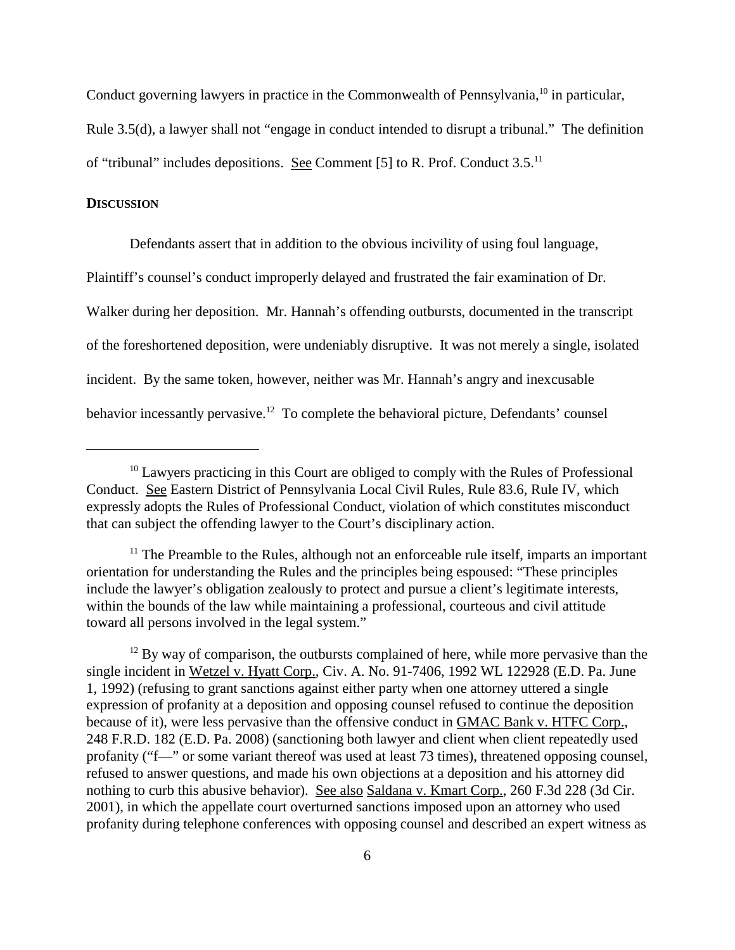Conduct governing lawyers in practice in the Commonwealth of Pennsylvania,<sup>10</sup> in particular,

Rule 3.5(d), a lawyer shall not "engage in conduct intended to disrupt a tribunal." The definition of "tribunal" includes depositions. See Comment [5] to R. Prof. Conduct  $3.5$ <sup>11</sup>

#### **DISCUSSION**

Defendants assert that in addition to the obvious incivility of using foul language, Plaintiff's counsel's conduct improperly delayed and frustrated the fair examination of Dr. Walker during her deposition. Mr. Hannah's offending outbursts, documented in the transcript of the foreshortened deposition, were undeniably disruptive. It was not merely a single, isolated incident. By the same token, however, neither was Mr. Hannah's angry and inexcusable behavior incessantly pervasive.<sup>12</sup> To complete the behavioral picture, Defendants' counsel

 $12$  By way of comparison, the outbursts complained of here, while more pervasive than the single incident in Wetzel v. Hyatt Corp., Civ. A. No. 91-7406, 1992 WL 122928 (E.D. Pa. June 1, 1992) (refusing to grant sanctions against either party when one attorney uttered a single expression of profanity at a deposition and opposing counsel refused to continue the deposition because of it), were less pervasive than the offensive conduct in GMAC Bank v. HTFC Corp., 248 F.R.D. 182 (E.D. Pa. 2008) (sanctioning both lawyer and client when client repeatedly used profanity ("f—" or some variant thereof was used at least 73 times), threatened opposing counsel, refused to answer questions, and made his own objections at a deposition and his attorney did nothing to curb this abusive behavior). See also Saldana v. Kmart Corp., 260 F.3d 228 (3d Cir. 2001), in which the appellate court overturned sanctions imposed upon an attorney who used profanity during telephone conferences with opposing counsel and described an expert witness as

 $10$  Lawyers practicing in this Court are obliged to comply with the Rules of Professional Conduct. See Eastern District of Pennsylvania Local Civil Rules, Rule 83.6, Rule IV, which expressly adopts the Rules of Professional Conduct, violation of which constitutes misconduct that can subject the offending lawyer to the Court's disciplinary action.

 $11$  The Preamble to the Rules, although not an enforceable rule itself, imparts an important orientation for understanding the Rules and the principles being espoused: "These principles include the lawyer's obligation zealously to protect and pursue a client's legitimate interests, within the bounds of the law while maintaining a professional, courteous and civil attitude toward all persons involved in the legal system."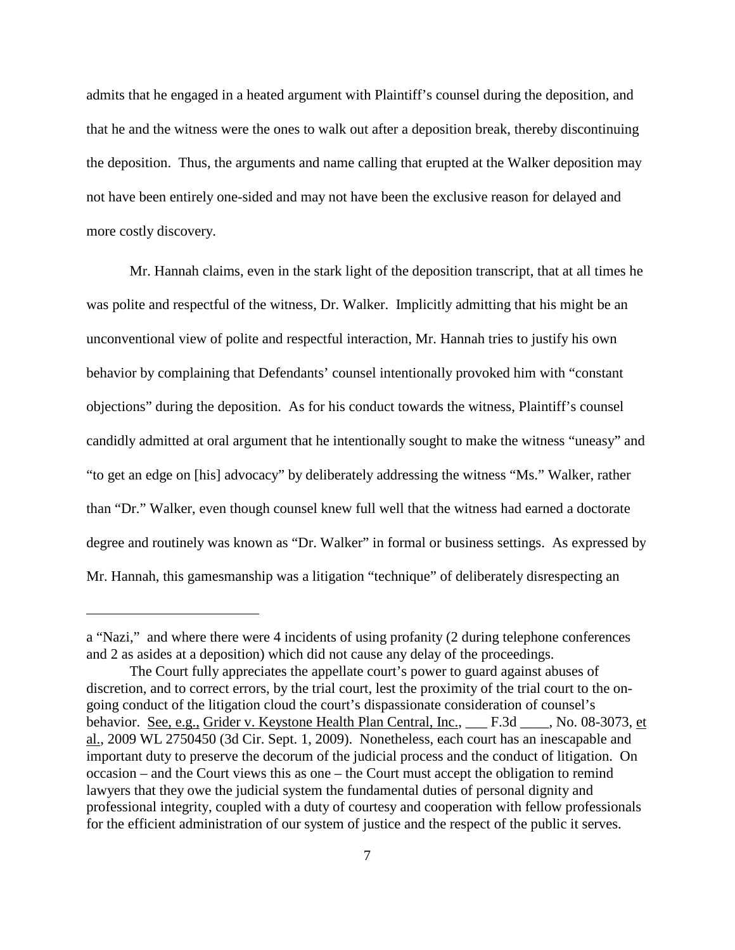admits that he engaged in a heated argument with Plaintiff's counsel during the deposition, and that he and the witness were the ones to walk out after a deposition break, thereby discontinuing the deposition. Thus, the arguments and name calling that erupted at the Walker deposition may not have been entirely one-sided and may not have been the exclusive reason for delayed and more costly discovery.

Mr. Hannah claims, even in the stark light of the deposition transcript, that at all times he was polite and respectful of the witness, Dr. Walker. Implicitly admitting that his might be an unconventional view of polite and respectful interaction, Mr. Hannah tries to justify his own behavior by complaining that Defendants' counsel intentionally provoked him with "constant objections" during the deposition. As for his conduct towards the witness, Plaintiff's counsel candidly admitted at oral argument that he intentionally sought to make the witness "uneasy" and "to get an edge on [his] advocacy" by deliberately addressing the witness "Ms." Walker, rather than "Dr." Walker, even though counsel knew full well that the witness had earned a doctorate degree and routinely was known as "Dr. Walker" in formal or business settings. As expressed by Mr. Hannah, this gamesmanship was a litigation "technique" of deliberately disrespecting an

a "Nazi," and where there were 4 incidents of using profanity (2 during telephone conferences and 2 as asides at a deposition) which did not cause any delay of the proceedings.

The Court fully appreciates the appellate court's power to guard against abuses of discretion, and to correct errors, by the trial court, lest the proximity of the trial court to the ongoing conduct of the litigation cloud the court's dispassionate consideration of counsel's behavior. See, e.g., Grider v. Keystone Health Plan Central, Inc., \_\_\_ F.3d \_\_\_, No. 08-3073, et al., 2009 WL 2750450 (3d Cir. Sept. 1, 2009). Nonetheless, each court has an inescapable and important duty to preserve the decorum of the judicial process and the conduct of litigation. On occasion – and the Court views this as one – the Court must accept the obligation to remind lawyers that they owe the judicial system the fundamental duties of personal dignity and professional integrity, coupled with a duty of courtesy and cooperation with fellow professionals for the efficient administration of our system of justice and the respect of the public it serves.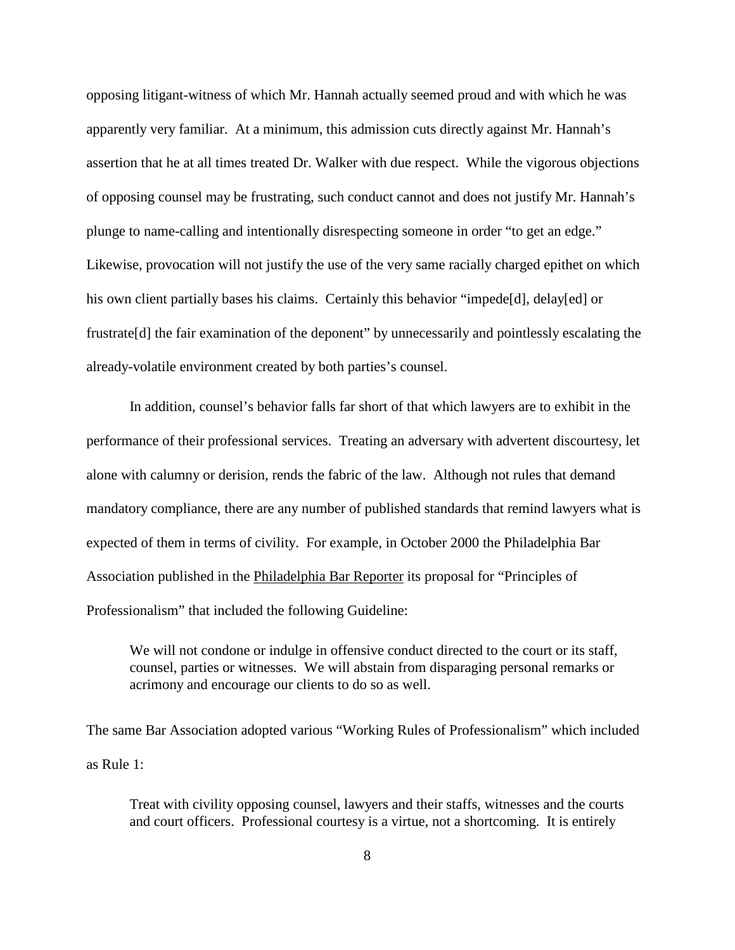opposing litigant-witness of which Mr. Hannah actually seemed proud and with which he was apparently very familiar. At a minimum, this admission cuts directly against Mr. Hannah's assertion that he at all times treated Dr. Walker with due respect. While the vigorous objections of opposing counsel may be frustrating, such conduct cannot and does not justify Mr. Hannah's plunge to name-calling and intentionally disrespecting someone in order "to get an edge." Likewise, provocation will not justify the use of the very same racially charged epithet on which his own client partially bases his claims. Certainly this behavior "impede[d], delay[ed] or frustrate[d] the fair examination of the deponent" by unnecessarily and pointlessly escalating the already-volatile environment created by both parties's counsel.

In addition, counsel's behavior falls far short of that which lawyers are to exhibit in the performance of their professional services. Treating an adversary with advertent discourtesy, let alone with calumny or derision, rends the fabric of the law. Although not rules that demand mandatory compliance, there are any number of published standards that remind lawyers what is expected of them in terms of civility. For example, in October 2000 the Philadelphia Bar Association published in the Philadelphia Bar Reporter its proposal for "Principles of Professionalism" that included the following Guideline:

We will not condone or indulge in offensive conduct directed to the court or its staff, counsel, parties or witnesses. We will abstain from disparaging personal remarks or acrimony and encourage our clients to do so as well.

The same Bar Association adopted various "Working Rules of Professionalism" which included as Rule 1:

Treat with civility opposing counsel, lawyers and their staffs, witnesses and the courts and court officers. Professional courtesy is a virtue, not a shortcoming. It is entirely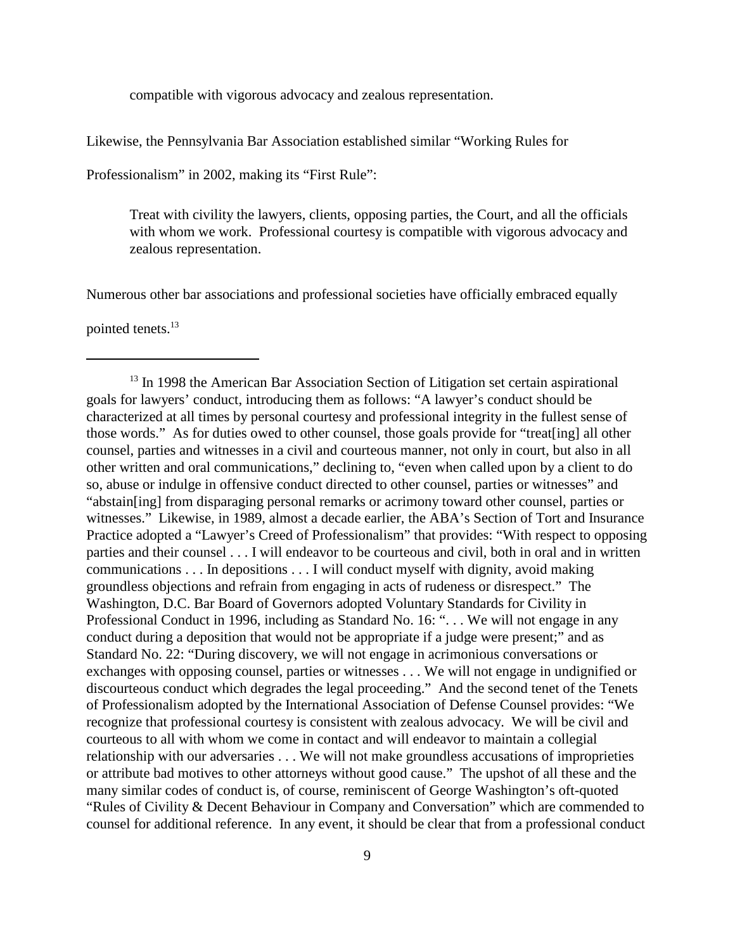compatible with vigorous advocacy and zealous representation.

Likewise, the Pennsylvania Bar Association established similar "Working Rules for

Professionalism" in 2002, making its "First Rule":

Treat with civility the lawyers, clients, opposing parties, the Court, and all the officials with whom we work. Professional courtesy is compatible with vigorous advocacy and zealous representation.

Numerous other bar associations and professional societies have officially embraced equally

pointed tenets. 13

 $13$  In 1998 the American Bar Association Section of Litigation set certain aspirational goals for lawyers' conduct, introducing them as follows: "A lawyer's conduct should be characterized at all times by personal courtesy and professional integrity in the fullest sense of those words." As for duties owed to other counsel, those goals provide for "treat[ing] all other counsel, parties and witnesses in a civil and courteous manner, not only in court, but also in all other written and oral communications," declining to, "even when called upon by a client to do so, abuse or indulge in offensive conduct directed to other counsel, parties or witnesses" and "abstain[ing] from disparaging personal remarks or acrimony toward other counsel, parties or witnesses." Likewise, in 1989, almost a decade earlier, the ABA's Section of Tort and Insurance Practice adopted a "Lawyer's Creed of Professionalism" that provides: "With respect to opposing parties and their counsel . . . I will endeavor to be courteous and civil, both in oral and in written communications . . . In depositions . . . I will conduct myself with dignity, avoid making groundless objections and refrain from engaging in acts of rudeness or disrespect." The Washington, D.C. Bar Board of Governors adopted Voluntary Standards for Civility in Professional Conduct in 1996, including as Standard No. 16: "... We will not engage in any conduct during a deposition that would not be appropriate if a judge were present;" and as Standard No. 22: "During discovery, we will not engage in acrimonious conversations or exchanges with opposing counsel, parties or witnesses . . . We will not engage in undignified or discourteous conduct which degrades the legal proceeding." And the second tenet of the Tenets of Professionalism adopted by the International Association of Defense Counsel provides: "We recognize that professional courtesy is consistent with zealous advocacy. We will be civil and courteous to all with whom we come in contact and will endeavor to maintain a collegial relationship with our adversaries . . . We will not make groundless accusations of improprieties or attribute bad motives to other attorneys without good cause." The upshot of all these and the many similar codes of conduct is, of course, reminiscent of George Washington's oft-quoted "Rules of Civility & Decent Behaviour in Company and Conversation" which are commended to counsel for additional reference. In any event, it should be clear that from a professional conduct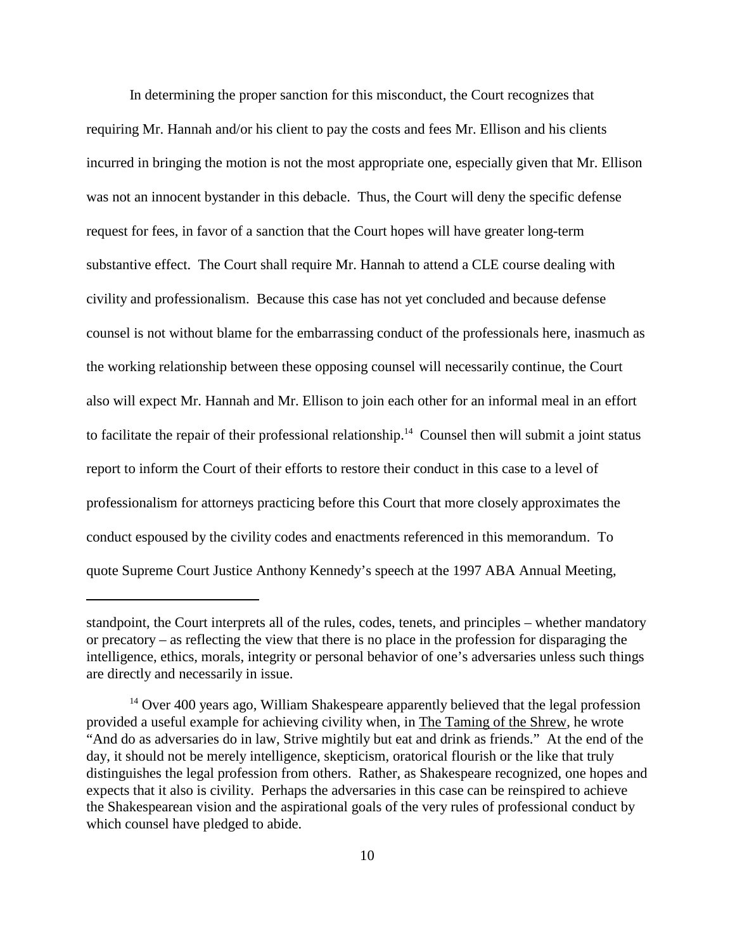In determining the proper sanction for this misconduct, the Court recognizes that requiring Mr. Hannah and/or his client to pay the costs and fees Mr. Ellison and his clients incurred in bringing the motion is not the most appropriate one, especially given that Mr. Ellison was not an innocent bystander in this debacle. Thus, the Court will deny the specific defense request for fees, in favor of a sanction that the Court hopes will have greater long-term substantive effect. The Court shall require Mr. Hannah to attend a CLE course dealing with civility and professionalism. Because this case has not yet concluded and because defense counsel is not without blame for the embarrassing conduct of the professionals here, inasmuch as the working relationship between these opposing counsel will necessarily continue, the Court also will expect Mr. Hannah and Mr. Ellison to join each other for an informal meal in an effort to facilitate the repair of their professional relationship.<sup>14</sup> Counsel then will submit a joint status report to inform the Court of their efforts to restore their conduct in this case to a level of professionalism for attorneys practicing before this Court that more closely approximates the conduct espoused by the civility codes and enactments referenced in this memorandum. To quote Supreme Court Justice Anthony Kennedy's speech at the 1997 ABA Annual Meeting,

standpoint, the Court interprets all of the rules, codes, tenets, and principles – whether mandatory or precatory – as reflecting the view that there is no place in the profession for disparaging the intelligence, ethics, morals, integrity or personal behavior of one's adversaries unless such things are directly and necessarily in issue.

 $14$  Over 400 years ago, William Shakespeare apparently believed that the legal profession provided a useful example for achieving civility when, in The Taming of the Shrew, he wrote "And do as adversaries do in law, Strive mightily but eat and drink as friends." At the end of the day, it should not be merely intelligence, skepticism, oratorical flourish or the like that truly distinguishes the legal profession from others. Rather, as Shakespeare recognized, one hopes and expects that it also is civility. Perhaps the adversaries in this case can be reinspired to achieve the Shakespearean vision and the aspirational goals of the very rules of professional conduct by which counsel have pledged to abide.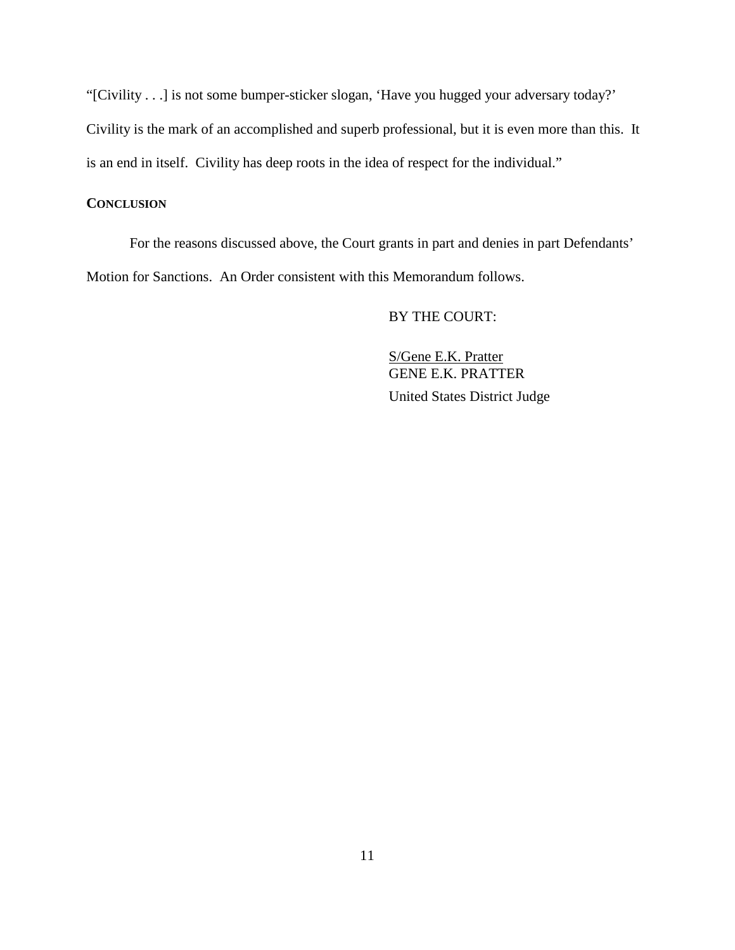"[Civility . . .] is not some bumper-sticker slogan, 'Have you hugged your adversary today?' Civility is the mark of an accomplished and superb professional, but it is even more than this. It is an end in itself. Civility has deep roots in the idea of respect for the individual."

### **CONCLUSION**

For the reasons discussed above, the Court grants in part and denies in part Defendants' Motion for Sanctions. An Order consistent with this Memorandum follows.

### BY THE COURT:

S/Gene E.K. Pratter GENE E.K. PRATTER United States District Judge